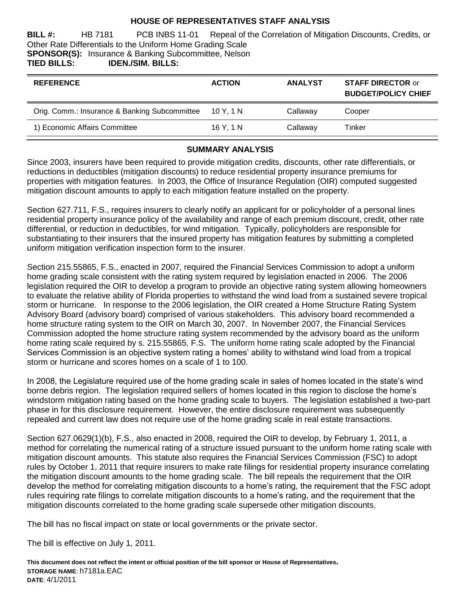#### **HOUSE OF REPRESENTATIVES STAFF ANALYSIS**

**BILL #:** HB 7181 PCB INBS 11-01 Repeal of the Correlation of Mitigation Discounts, Credits, or Other Rate Differentials to the Uniform Home Grading Scale **SPONSOR(S):** Insurance & Banking Subcommittee, Nelson **TIED BILLS: IDEN./SIM. BILLS:**

| <b>REFERENCE</b>                              | <b>ACTION</b> | <b>ANALYST</b> | <b>STAFF DIRECTOR or</b><br><b>BUDGET/POLICY CHIEF</b> |
|-----------------------------------------------|---------------|----------------|--------------------------------------------------------|
| Orig. Comm.: Insurance & Banking Subcommittee | 10 Y. 1 N     | Callaway       | Cooper                                                 |
| 1) Economic Affairs Committee                 | 16Y.1N        | Callaway       | Tinker                                                 |

## **SUMMARY ANALYSIS**

Since 2003, insurers have been required to provide mitigation credits, discounts, other rate differentials, or reductions in deductibles (mitigation discounts) to reduce residential property insurance premiums for properties with mitigation features. In 2003, the Office of Insurance Regulation (OIR) computed suggested mitigation discount amounts to apply to each mitigation feature installed on the property.

Section 627.711, F.S., requires insurers to clearly notify an applicant for or policyholder of a personal lines residential property insurance policy of the availability and range of each premium discount, credit, other rate differential, or reduction in deductibles, for wind mitigation. Typically, policyholders are responsible for substantiating to their insurers that the insured property has mitigation features by submitting a completed uniform mitigation verification inspection form to the insurer.

Section 215.55865, F.S., enacted in 2007, required the Financial Services Commission to adopt a uniform home grading scale consistent with the rating system required by legislation enacted in 2006. The 2006 legislation required the OIR to develop a program to provide an objective rating system allowing homeowners to evaluate the relative ability of Florida properties to withstand the wind load from a sustained severe tropical storm or hurricane. In response to the 2006 legislation, the OIR created a Home Structure Rating System Advisory Board (advisory board) comprised of various stakeholders. This advisory board recommended a home structure rating system to the OIR on March 30, 2007. In November 2007, the Financial Services Commission adopted the home structure rating system recommended by the advisory board as the uniform home rating scale required by s. 215.55865, F.S. The uniform home rating scale adopted by the Financial Services Commission is an objective system rating a homes' ability to withstand wind load from a tropical storm or hurricane and scores homes on a scale of 1 to 100.

In 2008, the Legislature required use of the home grading scale in sales of homes located in the state's wind borne debris region. The legislation required sellers of homes located in this region to disclose the home's windstorm mitigation rating based on the home grading scale to buyers. The legislation established a two-part phase in for this disclosure requirement. However, the entire disclosure requirement was subsequently repealed and current law does not require use of the home grading scale in real estate transactions.

Section 627.0629(1)(b), F.S., also enacted in 2008, required the OIR to develop, by February 1, 2011, a method for correlating the numerical rating of a structure issued pursuant to the uniform home rating scale with mitigation discount amounts. This statute also requires the Financial Services Commission (FSC) to adopt rules by October 1, 2011 that require insurers to make rate filings for residential property insurance correlating the mitigation discount amounts to the home grading scale. The bill repeals the requirement that the OIR develop the method for correlating mitigation discounts to a home's rating, the requirement that the FSC adopt rules requiring rate filings to correlate mitigation discounts to a home's rating, and the requirement that the mitigation discounts correlated to the home grading scale supersede other mitigation discounts.

The bill has no fiscal impact on state or local governments or the private sector.

The bill is effective on July 1, 2011.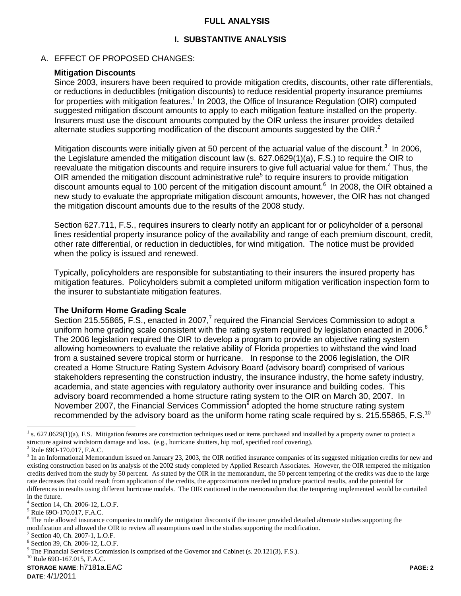#### **FULL ANALYSIS**

## **I. SUBSTANTIVE ANALYSIS**

#### A. EFFECT OF PROPOSED CHANGES:

#### **Mitigation Discounts**

Since 2003, insurers have been required to provide mitigation credits, discounts, other rate differentials, or reductions in deductibles (mitigation discounts) to reduce residential property insurance premiums for properties with mitigation features.<sup>1</sup> In 2003, the Office of Insurance Regulation (OIR) computed suggested mitigation discount amounts to apply to each mitigation feature installed on the property. Insurers must use the discount amounts computed by the OIR unless the insurer provides detailed alternate studies supporting modification of the discount amounts suggested by the OIR. $^2$ 

Mitigation discounts were initially given at 50 percent of the actuarial value of the discount.<sup>3</sup> In 2006, the Legislature amended the mitigation discount law (s. 627.0629(1)(a), F.S.) to require the OIR to reevaluate the mitigation discounts and require insurers to give full actuarial value for them.<sup>4</sup> Thus, the OIR amended the mitigation discount administrative rule<sup>5</sup> to require insurers to provide mitigation discount amounts equal to 100 percent of the mitigation discount amount.<sup>6</sup> In 2008, the OIR obtained a new study to evaluate the appropriate mitigation discount amounts, however, the OIR has not changed the mitigation discount amounts due to the results of the 2008 study.

Section 627.711, F.S., requires insurers to clearly notify an applicant for or policyholder of a personal lines residential property insurance policy of the availability and range of each premium discount, credit, other rate differential, or reduction in deductibles, for wind mitigation. The notice must be provided when the policy is issued and renewed.

Typically, policyholders are responsible for substantiating to their insurers the insured property has mitigation features. Policyholders submit a completed uniform mitigation verification inspection form to the insurer to substantiate mitigation features.

#### **The Uniform Home Grading Scale**

Section 215.55865, F.S., enacted in 2007, $^7$  required the Financial Services Commission to adopt a uniform home grading scale consistent with the rating system required by legislation enacted in 2006.<sup>8</sup> The 2006 legislation required the OIR to develop a program to provide an objective rating system allowing homeowners to evaluate the relative ability of Florida properties to withstand the wind load from a sustained severe tropical storm or hurricane. In response to the 2006 legislation, the OIR created a Home Structure Rating System Advisory Board (advisory board) comprised of various stakeholders representing the construction industry, the insurance industry, the home safety industry, academia, and state agencies with regulatory authority over insurance and building codes. This advisory board recommended a home structure rating system to the OIR on March 30, 2007. In November 2007, the Financial Services Commission<sup>9</sup> adopted the home structure rating system recommended by the advisory board as the uniform home rating scale required by s. 215.55865, F.S.<sup>10</sup>

 $\overline{a}$ 

**STORAGE NAME**: h7181a.EAC **PAGE: 2**  $^{10}$  Rule 690-167.015, F.A.C.

<sup>1</sup> s. 627.0629(1)(a), F.S. Mitigation features are construction techniques used or items purchased and installed by a property owner to protect a structure against windstorm damage and loss. (e.g., hurricane shutters, hip roof, specified roof covering).

 $^{2}$  Rule 690-170.017, F.A.C.

 $3$  In an Informational Memorandum issued on January 23, 2003, the OIR notified insurance companies of its suggested mitigation credits for new and existing construction based on its analysis of the 2002 study completed by Applied Research Associates. However, the OIR tempered the mitigation credits derived from the study by 50 percent. As stated by the OIR in the memorandum, the 50 percent tempering of the credits was due to the large rate decreases that could result from application of the credits, the approximations needed to produce practical results, and the potential for differences in results using different hurricane models. The OIR cautioned in the memorandum that the tempering implemented would be curtailed in the future.

<sup>4</sup> Section 14, Ch. 2006-12, L.O.F.

<sup>5</sup> Rule 69O-170.017, F.A.C.

 $6$  The rule allowed insurance companies to modify the mitigation discounts if the insurer provided detailed alternate studies supporting the modification and allowed the OIR to review all assumptions used in the studies supporting the modification.

<sup>7</sup> Section 40, Ch. 2007-1, L.O.F.

<sup>8</sup> Section 39, Ch. 2006-12, L.O.F.

<sup>&</sup>lt;sup>9</sup> The Financial Services Commission is comprised of the Governor and Cabinet (s. 20.121(3), F.S.).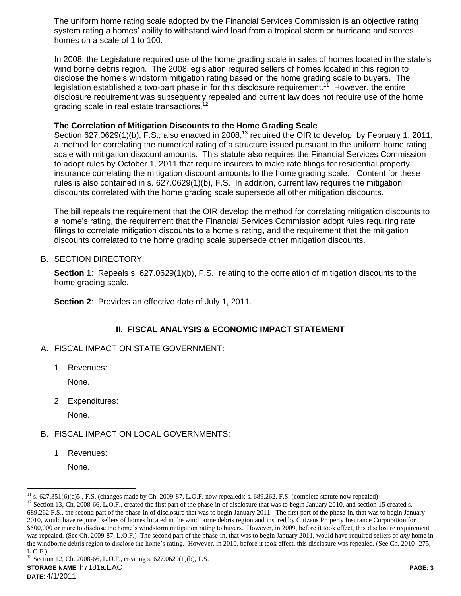The uniform home rating scale adopted by the Financial Services Commission is an objective rating system rating a homes' ability to withstand wind load from a tropical storm or hurricane and scores homes on a scale of 1 to 100.

In 2008, the Legislature required use of the home grading scale in sales of homes located in the state's wind borne debris region. The 2008 legislation required sellers of homes located in this region to disclose the home's windstorm mitigation rating based on the home grading scale to buyers. The legislation established a two-part phase in for this disclosure requirement.<sup>11</sup> However, the entire disclosure requirement was subsequently repealed and current law does not require use of the home grading scale in real estate transactions.<sup>12</sup>

## **The Correlation of Mitigation Discounts to the Home Grading Scale**

Section 627.0629(1)(b), F.S., also enacted in 2008,<sup>13</sup> required the OIR to develop, by February 1, 2011, a method for correlating the numerical rating of a structure issued pursuant to the uniform home rating scale with mitigation discount amounts. This statute also requires the Financial Services Commission to adopt rules by October 1, 2011 that require insurers to make rate filings for residential property insurance correlating the mitigation discount amounts to the home grading scale. Content for these rules is also contained in s. 627.0629(1)(b), F.S. In addition, current law requires the mitigation discounts correlated with the home grading scale supersede all other mitigation discounts.

The bill repeals the requirement that the OIR develop the method for correlating mitigation discounts to a home's rating, the requirement that the Financial Services Commission adopt rules requiring rate filings to correlate mitigation discounts to a home's rating, and the requirement that the mitigation discounts correlated to the home grading scale supersede other mitigation discounts.

#### B. SECTION DIRECTORY:

**Section 1:** Repeals s. 627.0629(1)(b), F.S., relating to the correlation of mitigation discounts to the home grading scale.

**Section 2: Provides an effective date of July 1, 2011.** 

## **II. FISCAL ANALYSIS & ECONOMIC IMPACT STATEMENT**

- A. FISCAL IMPACT ON STATE GOVERNMENT:
	- 1. Revenues:

None.

2. Expenditures:

None.

#### B. FISCAL IMPACT ON LOCAL GOVERNMENTS:

1. Revenues:

None.

 $\overline{a}$ 

 $11$  s. 627.351(6)(a)5., F.S. (changes made by Ch. 2009-87, L.O.F. now repealed); s. 689.262, F.S. (complete statute now repealed)

<sup>&</sup>lt;sup>12</sup> Section 13, Ch. 2008-66, L.O.F., created the first part of the phase-in of disclosure that was to begin January 2010, and section 15 created s. 689.262 F.S., the second part of the phase-in of disclosure that was to begin January 2011. The first part of the phase-in, that was to begin January 2010, would have required sellers of homes located in the wind borne debris region and insured by Citizens Property Insurance Corporation for \$500,000 or more to disclose the home's windstorm mitigation rating to buyers. However, in 2009, before it took effect, this disclosure requirement was repealed. (See Ch. 2009-87, L.O.F.) The second part of the phase-in, that was to begin January 2011, would have required sellers of *any* home in the windborne debris region to disclose the home's rating. However, in 2010, before it took effect, this disclosure was repealed. (See Ch. 2010- 275, L.O.F.)